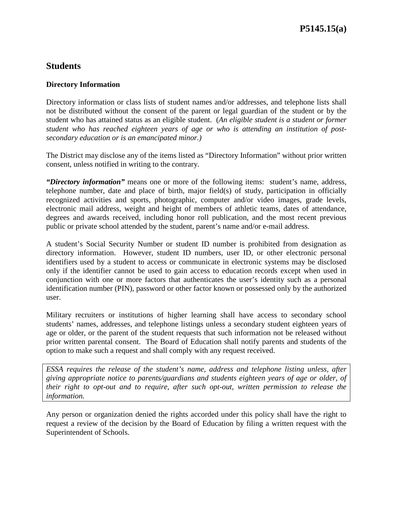# **Students**

## **Directory Information**

Directory information or class lists of student names and/or addresses, and telephone lists shall not be distributed without the consent of the parent or legal guardian of the student or by the student who has attained status as an eligible student. (*An eligible student is a student or former student who has reached eighteen years of age or who is attending an institution of postsecondary education or is an emancipated minor.)*

The District may disclose any of the items listed as "Directory Information" without prior written consent, unless notified in writing to the contrary.

*"Directory information"* means one or more of the following items: student's name, address, telephone number, date and place of birth, major field(s) of study, participation in officially recognized activities and sports, photographic, computer and/or video images, grade levels, electronic mail address, weight and height of members of athletic teams, dates of attendance, degrees and awards received, including honor roll publication, and the most recent previous public or private school attended by the student, parent's name and/or e-mail address.

A student's Social Security Number or student ID number is prohibited from designation as directory information. However, student ID numbers, user ID, or other electronic personal identifiers used by a student to access or communicate in electronic systems may be disclosed only if the identifier cannot be used to gain access to education records except when used in conjunction with one or more factors that authenticates the user's identity such as a personal identification number (PIN), password or other factor known or possessed only by the authorized user.

Military recruiters or institutions of higher learning shall have access to secondary school students' names, addresses, and telephone listings unless a secondary student eighteen years of age or older, or the parent of the student requests that such information not be released without prior written parental consent. The Board of Education shall notify parents and students of the option to make such a request and shall comply with any request received.

*ESSA requires the release of the student's name, address and telephone listing unless, after giving appropriate notice to parents/guardians and students eighteen years of age or older, of their right to opt-out and to require, after such opt-out, written permission to release the information.*

Any person or organization denied the rights accorded under this policy shall have the right to request a review of the decision by the Board of Education by filing a written request with the Superintendent of Schools.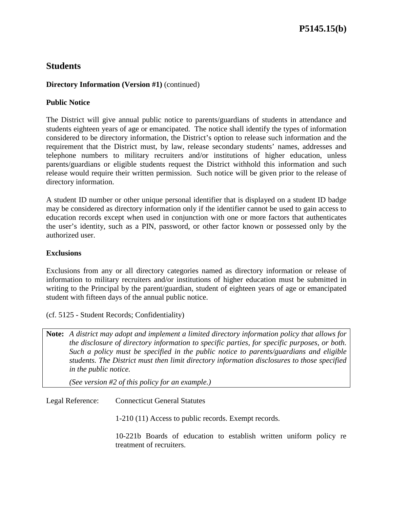# **Students**

## **Directory Information (Version #1)** (continued)

## **Public Notice**

The District will give annual public notice to parents/guardians of students in attendance and students eighteen years of age or emancipated. The notice shall identify the types of information considered to be directory information, the District's option to release such information and the requirement that the District must, by law, release secondary students' names, addresses and telephone numbers to military recruiters and/or institutions of higher education, unless parents/guardians or eligible students request the District withhold this information and such release would require their written permission. Such notice will be given prior to the release of directory information.

A student ID number or other unique personal identifier that is displayed on a student ID badge may be considered as directory information only if the identifier cannot be used to gain access to education records except when used in conjunction with one or more factors that authenticates the user's identity, such as a PIN, password, or other factor known or possessed only by the authorized user.

### **Exclusions**

Exclusions from any or all directory categories named as directory information or release of information to military recruiters and/or institutions of higher education must be submitted in writing to the Principal by the parent/guardian, student of eighteen years of age or emancipated student with fifteen days of the annual public notice.

(cf. 5125 - Student Records; Confidentiality)

**Note:** *A district may adopt and implement a limited directory information policy that allows for the disclosure of directory information to specific parties, for specific purposes, or both. Such a policy must be specified in the public notice to parents/guardians and eligible students. The District must then limit directory information disclosures to those specified in the public notice.*

*(See version #2 of this policy for an example.)*

Legal Reference: Connecticut General Statutes

1-210 (11) Access to public records. Exempt records.

10-221b Boards of education to establish written uniform policy re treatment of recruiters.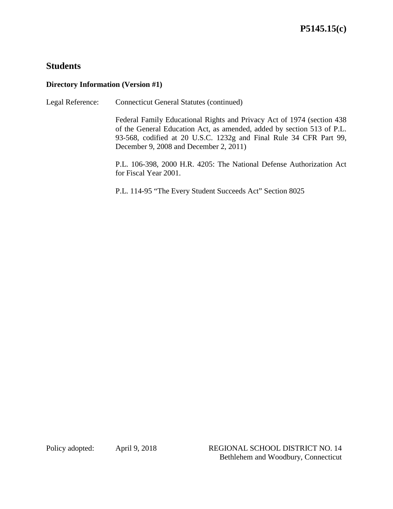# **Students**

## **Directory Information (Version #1)**

Legal Reference: Connecticut General Statutes (continued)

Federal Family Educational Rights and Privacy Act of 1974 (section 438 of the General Education Act, as amended, added by section 513 of P.L. 93-568, codified at 20 U.S.C. 1232g and Final Rule 34 CFR Part 99, December 9, 2008 and December 2, 2011)

P.L. 106-398, 2000 H.R. 4205: The National Defense Authorization Act for Fiscal Year 2001.

P.L. 114-95 "The Every Student Succeeds Act" Section 8025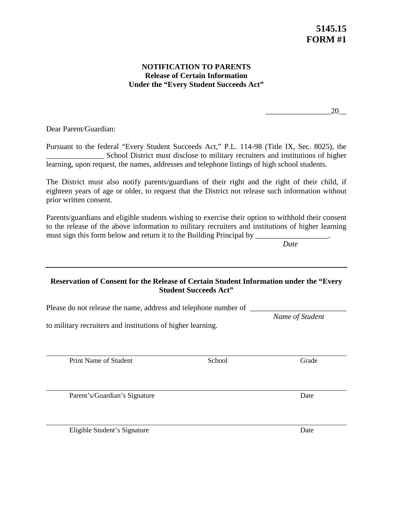## **NOTIFICATION TO PARENTS Release of Certain Information Under the "Every Student Succeeds Act"**

 $20$ 

Dear Parent/Guardian:

Pursuant to the federal "Every Student Succeeds Act," P.L. 114-98 (Title IX, Sec. 8025), the \_\_\_\_\_\_\_\_\_\_\_\_\_\_\_ School District must disclose to military recruiters and institutions of higher learning, upon request, the names, addresses and telephone listings of high school students.

The District must also notify parents/guardians of their right and the right of their child, if eighteen years of age or older, to request that the District not release such information without prior written consent.

Parents/guardians and eligible students wishing to exercise their option to withhold their consent to the release of the above information to military recruiters and institutions of higher learning must sign this form below and return it to the Building Principal by \_\_\_\_\_\_\_\_\_\_\_\_

*Date*

*Name of Student*

## **Reservation of Consent for the Release of Certain Student Information under the "Every Student Succeeds Act"**

Please do not release the name, address and telephone number of

to military recruiters and institutions of higher learning.

Print Name of Student School School Grade

Parent's/Guardian's Signature Date Date Date

Eligible Student's Signature Date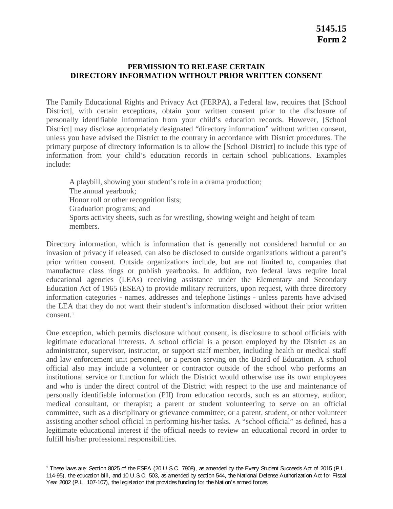### **PERMISSION TO RELEASE CERTAIN DIRECTORY INFORMATION WITHOUT PRIOR WRITTEN CONSENT**

The Family Educational Rights and Privacy Act (FERPA), a Federal law, requires that [School District], with certain exceptions, obtain your written consent prior to the disclosure of personally identifiable information from your child's education records. However, [School District] may disclose appropriately designated "directory information" without written consent, unless you have advised the District to the contrary in accordance with District procedures. The primary purpose of directory information is to allow the [School District] to include this type of information from your child's education records in certain school publications. Examples include:

A playbill, showing your student's role in a drama production; The annual yearbook; Honor roll or other recognition lists; Graduation programs; and Sports activity sheets, such as for wrestling, showing weight and height of team members.

Directory information, which is information that is generally not considered harmful or an invasion of privacy if released, can also be disclosed to outside organizations without a parent's prior written consent. Outside organizations include, but are not limited to, companies that manufacture class rings or publish yearbooks. In addition, two federal laws require local educational agencies (LEAs) receiving assistance under the Elementary and Secondary Education Act of 1965 (ESEA) to provide military recruiters, upon request, with three directory information categories - names, addresses and telephone listings - unless parents have advised the LEA that they do not want their student's information disclosed without their prior written consent.<sup>[1](#page-4-0)</sup>

One exception, which permits disclosure without consent, is disclosure to school officials with legitimate educational interests. A school official is a person employed by the District as an administrator, supervisor, instructor, or support staff member, including health or medical staff and law enforcement unit personnel, or a person serving on the Board of Education. A school official also may include a volunteer or contractor outside of the school who performs an institutional service or function for which the District would otherwise use its own employees and who is under the direct control of the District with respect to the use and maintenance of personally identifiable information (PII) from education records, such as an attorney, auditor, medical consultant, or therapist; a parent or student volunteering to serve on an official committee, such as a disciplinary or grievance committee; or a parent, student, or other volunteer assisting another school official in performing his/her tasks. A "school official" as defined, has a legitimate educational interest if the official needs to review an educational record in order to fulfill his/her professional responsibilities.

 $\overline{a}$ 

<span id="page-4-0"></span><sup>1</sup> These laws are: Section 8025 of the ESEA (20 U.S.C. 7908), as amended by the Every Student Succeeds Act of 2015 (P.L. 114-95), the education bill, and 10 U.S.C. 503, as amended by section 544, the National Defense Authorization Act for Fiscal Year 2002 (P.L. 107-107), the legislation that provides funding for the Nation's armed forces.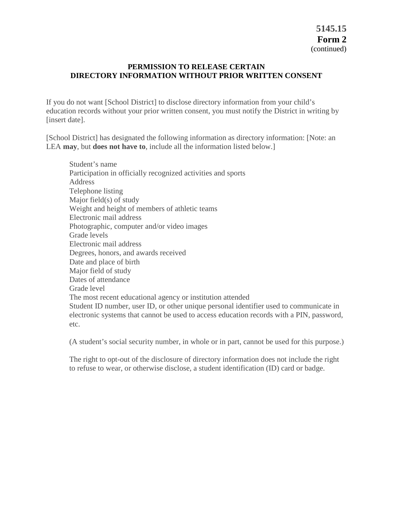### **PERMISSION TO RELEASE CERTAIN DIRECTORY INFORMATION WITHOUT PRIOR WRITTEN CONSENT**

If you do not want [School District] to disclose directory information from your child's education records without your prior written consent, you must notify the District in writing by [insert date].

[School District] has designated the following information as directory information: [Note: an LEA **may**, but **does not have to**, include all the information listed below.]

Student's name Participation in officially recognized activities and sports Address Telephone listing Major field(s) of study Weight and height of members of athletic teams Electronic mail address Photographic, computer and/or video images Grade levels Electronic mail address Degrees, honors, and awards received Date and place of birth Major field of study Dates of attendance Grade level The most recent educational agency or institution attended Student ID number, user ID, or other unique personal identifier used to communicate in electronic systems that cannot be used to access education records with a PIN, password, etc.

(A student's social security number, in whole or in part, cannot be used for this purpose.)

The right to opt-out of the disclosure of directory information does not include the right to refuse to wear, or otherwise disclose, a student identification (ID) card or badge.